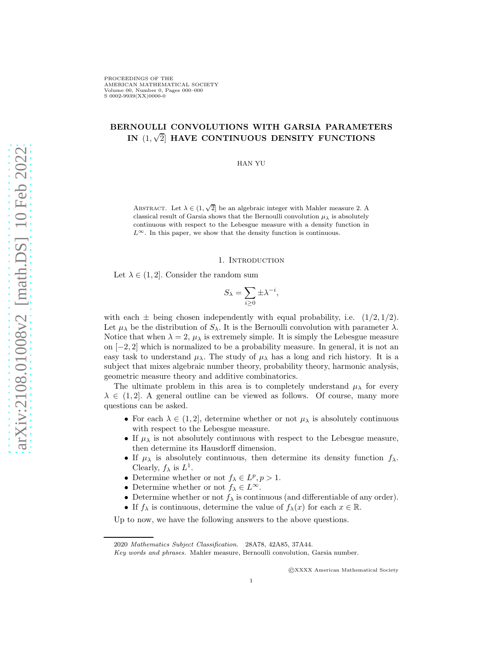# BERNOULLI CONVOLUTIONS WITH GARSIA PARAMETERS IN  $(1,\sqrt{2}]$  HAVE CONTINUOUS DENSITY FUNCTIONS

HAN YU

ABSTRACT. Let  $\lambda \in (1, \sqrt{2}]$  be an algebraic integer with Mahler measure 2. A classical result of Garsia shows that the Bernoulli convolution  $\mu_{\lambda}$  is absolutely continuous with respect to the Lebesgue measure with a density function in  $L^{\infty}$ . In this paper, we show that the density function is continuous.

#### 1. INTRODUCTION

Let  $\lambda \in (1, 2]$ . Consider the random sum

$$
S_{\lambda} = \sum_{i \geq 0} \pm \lambda^{-i},
$$

with each  $\pm$  being chosen independently with equal probability, i.e.  $(1/2, 1/2)$ . Let  $\mu_{\lambda}$  be the distribution of  $S_{\lambda}$ . It is the Bernoulli convolution with parameter  $\lambda$ . Notice that when  $\lambda = 2$ ,  $\mu_{\lambda}$  is extremely simple. It is simply the Lebesgue measure on [−2, 2] which is normalized to be a probability measure. In general, it is not an easy task to understand  $\mu_{\lambda}$ . The study of  $\mu_{\lambda}$  has a long and rich history. It is a subject that mixes algebraic number theory, probability theory, harmonic analysis, geometric measure theory and additive combinatorics.

The ultimate problem in this area is to completely understand  $\mu_{\lambda}$  for every  $\lambda \in (1, 2]$ . A general outline can be viewed as follows. Of course, many more questions can be asked.

- For each  $\lambda \in (1, 2]$ , determine whether or not  $\mu_{\lambda}$  is absolutely continuous with respect to the Lebesgue measure.
- $\bullet$  If  $\mu_{\lambda}$  is not absolutely continuous with respect to the Lebesgue measure, then determine its Hausdorff dimension.
- If  $\mu_{\lambda}$  is absolutely continuous, then determine its density function  $f_{\lambda}$ . Clearly,  $f_{\lambda}$  is  $L^{1}$ .
- Determine whether or not  $f_{\lambda} \in L^p, p > 1$ .
- Determine whether or not  $f_{\lambda} \in L^{\infty}$ .
- Determine whether or not  $f_{\lambda}$  is continuous (and differentiable of any order).
- If  $f_{\lambda}$  is continuous, determine the value of  $f_{\lambda}(x)$  for each  $x \in \mathbb{R}$ .

Up to now, we have the following answers to the above questions.

©XXXX American Mathematical Society

<sup>2020</sup> Mathematics Subject Classification. 28A78, 42A85, 37A44.

Key words and phrases. Mahler measure, Bernoulli convolution, Garsia number.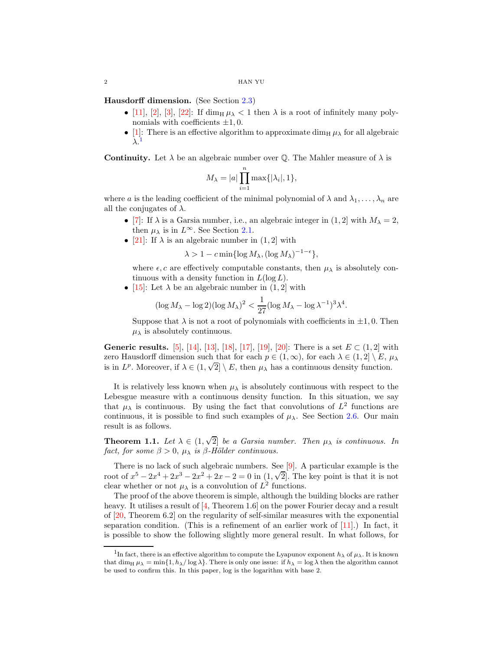<span id="page-1-1"></span>Hausdorff dimension. (See Section [2.3\)](#page-3-0)

- [\[11\]](#page-9-0), [\[2\]](#page-9-1), [\[3\]](#page-9-2), [\[22\]](#page-9-3): If dim<sub>H</sub>  $\mu_{\lambda}$  < 1 then  $\lambda$  is a root of infinitely many polynomials with coefficients  $\pm 1, 0$ .
- [\[1\]](#page-9-4): There is an effective algorithm to approximate  $\dim_H \mu_\lambda$  for all algebraic  $\lambda^{1}$  $\lambda^{1}$  $\lambda^{1}$

**Continuity.** Let  $\lambda$  be an algebraic number over  $\mathbb{Q}$ . The Mahler measure of  $\lambda$  is

$$
M_{\lambda} = |a| \prod_{i=1}^{n} \max\{|\lambda_i|, 1\},\
$$

where a is the leading coefficient of the minimal polynomial of  $\lambda$  and  $\lambda_1, \ldots, \lambda_n$  are all the conjugates of  $\lambda$ .

- [\[7\]](#page-9-5): If  $\lambda$  is a Garsia number, i.e., an algebraic integer in  $(1, 2]$  with  $M_{\lambda} = 2$ , then  $\mu_{\lambda}$  is in  $L^{\infty}$ . See Section [2.1.](#page-2-0)
- [\[21\]](#page-9-6): If  $\lambda$  is an algebraic number in (1, 2] with

 $\lambda > 1 - c \min\{\log M_\lambda, (\log M_\lambda)^{-1-\epsilon}\},$ 

where  $\epsilon$ , c are effectively computable constants, then  $\mu_{\lambda}$  is absolutely continuous with a density function in  $L(\log L)$ .

• [\[15\]](#page-9-7): Let  $\lambda$  be an algebraic number in (1, 2] with

$$
(\log M_{\lambda} - \log 2)(\log M_{\lambda})^2 < \frac{1}{27} (\log M_{\lambda} - \log \lambda^{-1})^3 \lambda^4.
$$

Suppose that  $\lambda$  is not a root of polynomials with coefficients in  $\pm 1, 0$ . Then  $\mu_{\lambda}$  is absolutely continuous.

Generic results. [\[5\]](#page-9-8), [\[14\]](#page-9-9), [\[13\]](#page-9-10), [\[18\]](#page-9-11), [\[17\]](#page-9-12), [\[19\]](#page-9-13), [\[20\]](#page-9-14): There is a set  $E \subset (1,2]$  with zero Hausdorff dimension such that for each  $p \in (1,\infty)$ , for each  $\lambda \in (1,2] \setminus E$ ,  $\mu_{\lambda}$ is in  $L^p$ . Moreover, if  $\lambda \in (1, \sqrt{2}] \setminus E$ , then  $\mu_{\lambda}$  has a continuous density function.

It is relatively less known when  $\mu_{\lambda}$  is absolutely continuous with respect to the Lebesgue measure with a continuous density function. In this situation, we say that  $\mu_{\lambda}$  is continuous. By using the fact that convolutions of  $L^2$  functions are continuous, it is possible to find such examples of  $\mu_{\lambda}$ . See Section [2.6.](#page-4-0) Our main result is as follows.

**Theorem 1.1.** Let  $\lambda \in (1, \sqrt{2}]$  be a Garsia number. Then  $\mu_{\lambda}$  is continuous. In fact, for some  $\beta > 0$ ,  $\mu_{\lambda}$  is  $\beta$ -Hölder continuous.

There is no lack of such algebraic numbers. See [\[9\]](#page-9-15). A particular example is the root of  $x^5 - 2x^4 + 2x^3 - 2x^2 + 2x - 2 = 0$  in  $(1, \sqrt{2}]$ . The key point is that it is not clear whether or not  $\mu_{\lambda}$  is a convolution of  $L^2$  functions.

The proof of the above theorem is simple, although the building blocks are rather heavy. It utilises a result of [\[4,](#page-9-16) Theorem 1.6] on the power Fourier decay and a result of [\[20,](#page-9-14) Theorem 6.2] on the regularity of self-similar measures with the exponential separation condition. (This is a refinement of an earlier work of  $[11]$ .) In fact, it is possible to show the following slightly more general result. In what follows, for

<span id="page-1-0"></span><sup>&</sup>lt;sup>1</sup>In fact, there is an effective algorithm to compute the Lyapunov exponent  $h_{\lambda}$  of  $\mu_{\lambda}$ . It is known that dim<sub>H</sub>  $\mu_{\lambda} = \min\{1, h_{\lambda}/\log \lambda\}$ . There is only one issue: if  $h_{\lambda} = \log \lambda$  then the algorithm cannot be used to confirm this. In this paper, log is the logarithm with base 2.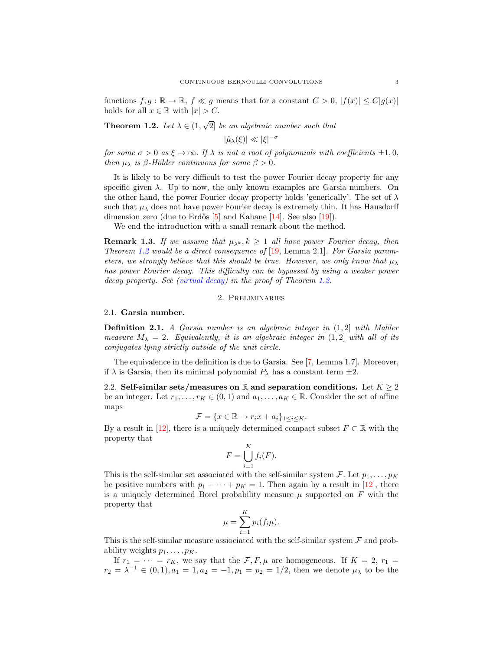<span id="page-2-2"></span>functions  $f, g : \mathbb{R} \to \mathbb{R}$ ,  $f \ll g$  means that for a constant  $C > 0$ ,  $|f(x)| \leq C|g(x)|$ holds for all  $x \in \mathbb{R}$  with  $|x| > C$ .

<span id="page-2-1"></span>**Theorem 1.2.** Let  $\lambda \in (1, \sqrt{2}]$  be an algebraic number such that

$$
|\hat{\mu}_{\lambda}(\xi)| \ll |\xi|^{-\sigma}
$$

for some  $\sigma > 0$  as  $\xi \to \infty$ . If  $\lambda$  is not a root of polynomials with coefficients  $\pm 1, 0$ , then  $\mu_{\lambda}$  is  $\beta$ -Hölder continuous for some  $\beta > 0$ .

It is likely to be very difficult to test the power Fourier decay property for any specific given  $\lambda$ . Up to now, the only known examples are Garsia numbers. On the other hand, the power Fourier decay property holds 'generically'. The set of  $\lambda$ such that  $\mu_{\lambda}$  does not have power Fourier decay is extremely thin. It has Hausdorff dimension zero (due to Erdős  $[5]$  and Kahane  $[14]$ . See also  $[19]$ ).

We end the introduction with a small remark about the method.

**Remark 1.3.** If we assume that  $\mu_{\lambda^k}$ ,  $k \geq 1$  all have power Fourier decay, then Theorem [1.2](#page-2-1) would be a direct consequence of  $[19, \text{Lemma } 2.1]$  $[19, \text{Lemma } 2.1]$ . For Garsia parameters, we strongly believe that this should be true. However, we only know that  $\mu_{\lambda}$ has power Fourier decay. This difficulty can be bypassed by using a weaker power decay property. See [\(virtual decay\)](#page-7-0) in the proof of Theorem [1.2.](#page-2-1)

# 2. Preliminaries

# <span id="page-2-0"></span>2.1. Garsia number.

**Definition 2.1.** A Garsia number is an algebraic integer in  $(1, 2]$  with Mahler measure  $M_{\lambda} = 2$ . Equivalently, it is an algebraic integer in (1,2) with all of its conjugates lying strictly outside of the unit circle.

The equivalence in the definition is due to Garsia. See [\[7,](#page-9-5) Lemma 1.7]. Moreover, if  $\lambda$  is Garsia, then its minimal polynomial  $P_{\lambda}$  has a constant term  $\pm 2$ .

2.2. Self-similar sets/measures on R and separation conditions. Let  $K \geq 2$ be an integer. Let  $r_1, \ldots, r_K \in (0,1)$  and  $a_1, \ldots, a_K \in \mathbb{R}$ . Consider the set of affine maps

$$
\mathcal{F} = \{x \in \mathbb{R} \to r_i x + a_i\}_{1 \leq i \leq K}.
$$

By a result in [\[12\]](#page-9-17), there is a uniquely determined compact subset  $F \subset \mathbb{R}$  with the property that

$$
F = \bigcup_{i=1}^{K} f_i(F).
$$

This is the self-similar set associated with the self-similar system  $\mathcal{F}$ . Let  $p_1, \ldots, p_K$ be positive numbers with  $p_1 + \cdots + p_K = 1$ . Then again by a result in [\[12\]](#page-9-17), there is a uniquely determined Borel probability measure  $\mu$  supported on  $F$  with the property that

$$
\mu = \sum_{i=1}^{K} p_i(f_i\mu).
$$

This is the self-similar measure assiociated with the self-similar system  $\mathcal F$  and probability weights  $p_1, \ldots, p_K$ .

If  $r_1 = \cdots = r_K$ , we say that the  $\mathcal{F}, F, \mu$  are homogeneous. If  $K = 2, r_1 =$  $r_2 = \lambda^{-1} \in (0,1), a_1 = 1, a_2 = -1, p_1 = p_2 = 1/2$ , then we denote  $\mu_{\lambda}$  to be the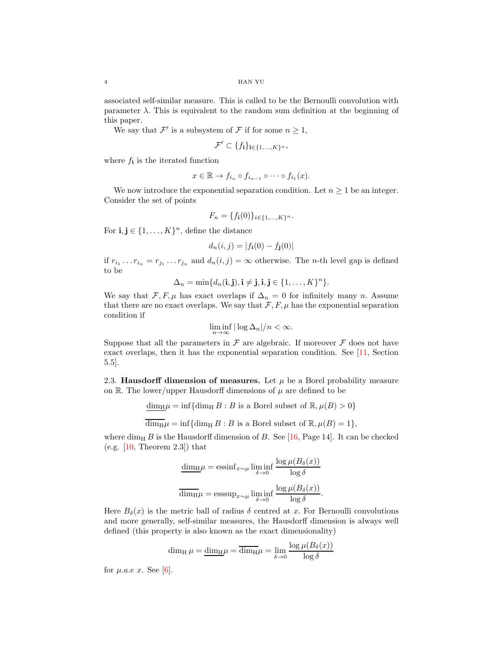<span id="page-3-1"></span>associated self-similar measure. This is called to be the Bernoulli convolution with parameter  $\lambda$ . This is equivalent to the random sum definition at the beginning of this paper.

We say that  $\mathcal{F}'$  is a subsystem of  $\mathcal F$  if for some  $n \geq 1$ ,

$$
\mathcal{F}' \subset \{f_{\mathbf{i}}\}_{\mathbf{i} \in \{1,\ldots,K\}^n},
$$

where  $f_i$  is the iterated function

$$
x \in \mathbb{R} \to f_{i_n} \circ f_{i_{n-1}} \circ \cdots \circ f_{i_1}(x).
$$

We now introduce the exponential separation condition. Let  $n \geq 1$  be an integer. Consider the set of points

$$
F_n = \{f_i(0)\}_{i \in \{1,\dots,K\}^n}.
$$

For  $\mathbf{i}, \mathbf{j} \in \{1, \ldots, K\}^n$ , define the distance

$$
d_n(i,j) = |f_{\mathbf{i}}(0) - f_{\mathbf{j}}(0)|
$$

if  $r_{i_1} \dots r_{i_n} = r_{j_1} \dots r_{j_n}$  and  $d_n(i,j) = \infty$  otherwise. The *n*-th level gap is defined to be

$$
\Delta_n = \min\{d_n(\mathbf{i}, \mathbf{j}), \mathbf{i} \neq \mathbf{j}, \mathbf{i}, \mathbf{j} \in \{1, \dots, K\}^n\}.
$$

We say that  $\mathcal{F}, F, \mu$  has exact overlaps if  $\Delta_n = 0$  for infinitely many n. Assume that there are no exact overlaps. We say that  $\mathcal{F}, F, \mu$  has the exponential separation condition if

$$
\liminf_{n \to \infty} |\log \Delta_n|/n < \infty.
$$

Suppose that all the parameters in  $\mathcal F$  are algebraic. If moreover  $\mathcal F$  does not have exact overlaps, then it has the exponential separation condition. See [\[11,](#page-9-0) Section 5.5].

<span id="page-3-0"></span>2.3. Hausdorff dimension of measures. Let  $\mu$  be a Borel probability measure on R. The lower/upper Hausdorff dimensions of  $\mu$  are defined to be

$$
\underline{\dim_{\mathrm{H}}}\mu = \inf \{\dim_{\mathrm{H}} B : B \text{ is a Borel subset of } \mathbb{R}, \mu(B) > 0\}
$$

 $\overline{\dim_H \mu} = \inf \{\dim_H B : B \text{ is a Borel subset of } \mathbb{R}, \mu(B) = 1\},\$ 

where  $\dim_{\text{H}} B$  is the Hausdorff dimension of B. See [\[16,](#page-9-18) Page 14]. It can be checked (e.g.  $[10,$  Theorem 2.3]) that

$$
\frac{\dim_{\mathrm{H}}\mu = \mathrm{essinf}_{x \sim \mu} \liminf_{\delta \to 0} \frac{\log \mu(B_{\delta}(x))}{\log \delta}
$$

$$
\frac{\dim_{\mathrm{H}}\mu = \mathrm{esssup}_{x \sim \mu} \liminf_{\delta \to 0} \frac{\log \mu(B_{\delta}(x))}{\log \delta}.
$$

Here  $B_{\delta}(x)$  is the metric ball of radius  $\delta$  centred at x. For Bernoulli convolutions and more generally, self-similar measures, the Hausdorff dimension is always well defined (this property is also known as the exact dimensionality)

$$
\dim_{\mathrm{H}} \mu = \underline{\dim}_{\mathrm{H}} \mu = \overline{\dim}_{\mathrm{H}} \mu = \lim_{\delta \to 0} \frac{\log \mu(B_{\delta}(x))}{\log \delta}
$$

for  $\mu.a.e\ x$ . See [\[6\]](#page-9-20).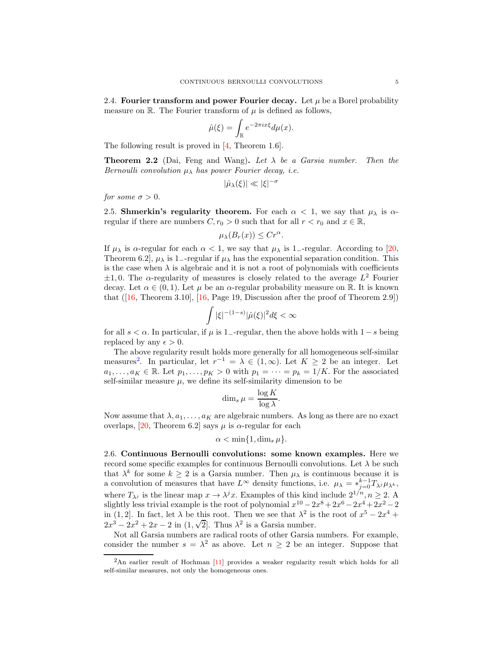<span id="page-4-2"></span>2.4. Fourier transform and power Fourier decay. Let  $\mu$  be a Borel probability measure on  $\mathbb{R}$ . The Fourier transform of  $\mu$  is defined as follows,

$$
\hat{\mu}(\xi) = \int_{\mathbb{R}} e^{-2\pi ix\xi} d\mu(x).
$$

The following result is proved in [\[4,](#page-9-16) Theorem 1.6].

**Theorem 2.2** (Dai, Feng and Wang). Let  $\lambda$  be a Garsia number. Then the Bernoulli convolution  $\mu_{\lambda}$  has power Fourier decay, i.e.

$$
|\hat{\mu}_{\lambda}(\xi)| \ll |\xi|^{-\sigma}
$$

for some  $\sigma > 0$ .

2.5. Shmerkin's regularity theorem. For each  $\alpha < 1$ , we say that  $\mu_{\lambda}$  is  $\alpha$ regular if there are numbers  $C, r_0 > 0$  such that for all  $r < r_0$  and  $x \in \mathbb{R}$ ,

$$
\mu_{\lambda}(B_r(x)) \leq Cr^{\alpha}.
$$

If  $\mu_{\lambda}$  is  $\alpha$ -regular for each  $\alpha < 1$ , we say that  $\mu_{\lambda}$  is 1<sub>-</sub>-regular. According to [\[20,](#page-9-14) Theorem 6.2,  $\mu_{\lambda}$  is 1–-regular if  $\mu_{\lambda}$  has the exponential separation condition. This is the case when  $\lambda$  is algebraic and it is not a root of polynomials with coefficients  $\pm 1, 0$ . The  $\alpha$ -regularity of measures is closely related to the average  $L^2$  Fourier decay. Let  $\alpha \in (0,1)$ . Let  $\mu$  be an  $\alpha$ -regular probability measure on R. It is known that  $([16, Theorem 3.10], [16, Page 19, Discussion after the proof of Theorem 2.9])$  $([16, Theorem 3.10], [16, Page 19, Discussion after the proof of Theorem 2.9])$  $([16, Theorem 3.10], [16, Page 19, Discussion after the proof of Theorem 2.9])$  $([16, Theorem 3.10], [16, Page 19, Discussion after the proof of Theorem 2.9])$  $([16, Theorem 3.10], [16, Page 19, Discussion after the proof of Theorem 2.9])$ 

$$
\int |\xi|^{-(1-s)} |\hat{\mu}(\xi)|^2 d\xi < \infty
$$

for all  $s < \alpha$ . In particular, if  $\mu$  is 1<sub>-</sub>-regular, then the above holds with 1 – s being replaced by any  $\epsilon > 0$ .

The above regularity result holds more generally for all homogeneous self-similar measures<sup>[2](#page-4-1)</sup>. In particular, let  $r^{-1} = \lambda \in (1,\infty)$ . Let  $K \geq 2$  be an integer. Let  $a_1, \ldots, a_K \in \mathbb{R}$ . Let  $p_1, \ldots, p_K > 0$  with  $p_1 = \cdots = p_k = 1/K$ . For the associated self-similar measure  $\mu$ , we define its self-similarity dimension to be

$$
\dim_s \mu = \frac{\log K}{\log \lambda}.
$$

Now assume that  $\lambda, a_1, \ldots, a_K$  are algebraic numbers. As long as there are no exact overlaps, [\[20,](#page-9-14) Theorem 6.2] says  $\mu$  is  $\alpha$ -regular for each

$$
\alpha < \min\{1, \dim_s \mu\}.
$$

<span id="page-4-0"></span>2.6. Continuous Bernoulli convolutions: some known examples. Here we record some specific examples for continuous Bernoulli convolutions. Let  $\lambda$  be such that  $\lambda^k$  for some  $k \geq 2$  is a Garsia number. Then  $\mu_{\lambda}$  is continuous because it is a convolution of measures that have  $L^{\infty}$  density functions, i.e.  $\mu_{\lambda} = *_{j=0}^{k-1} T_{\lambda} \mu_{\lambda^k}$ , where  $T_{\lambda}$  is the linear map  $x \to \lambda^j x$ . Examples of this kind include  $2^{1/n}$ ,  $n \geq 2$ . A slightly less trivial example is the root of polynomial  $x^{10} - 2x^8 + 2x^6 - 2x^4 + 2x^2 - 2$ in (1, 2). In fact, let  $\lambda$  be this root. Then we see that  $\lambda^2$  is the root of  $x^5 - 2x^4 +$  $2x^3 - 2x^2 + 2x - 2$  in  $(1, \sqrt{2}]$ . Thus  $\lambda^2$  is a Garsia number.

Not all Garsia numbers are radical roots of other Garsia numbers. For example, consider the number  $s = \lambda^2$  as above. Let  $n \geq 2$  be an integer. Suppose that

<span id="page-4-1"></span> $2\text{An earlier result of Hochman [11] provides a weaker regularity result which holds for all }$  $2\text{An earlier result of Hochman [11] provides a weaker regularity result which holds for all }$  $2\text{An earlier result of Hochman [11] provides a weaker regularity result which holds for all }$ self-similar measures, not only the homogeneous ones.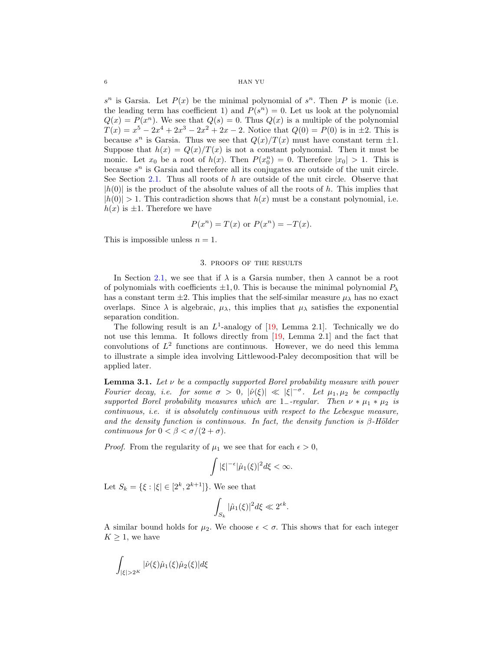## <span id="page-5-1"></span>6 HAN YU

 $s^n$  is Garsia. Let  $P(x)$  be the minimal polynomial of  $s^n$ . Then P is monic (i.e. the leading term has coefficient 1) and  $P(s^n) = 0$ . Let us look at the polynomial  $Q(x) = P(x^n)$ . We see that  $Q(s) = 0$ . Thus  $Q(x)$  is a multiple of the polynomial  $T(x) = x^5 - 2x^4 + 2x^3 - 2x^2 + 2x - 2$ . Notice that  $Q(0) = P(0)$  is in  $\pm 2$ . This is because  $s^n$  is Garsia. Thus we see that  $Q(x)/T(x)$  must have constant term  $\pm 1$ . Suppose that  $h(x) = Q(x)/T(x)$  is not a constant polynomial. Then it must be monic. Let  $x_0$  be a root of  $h(x)$ . Then  $P(x_0^n) = 0$ . Therefore  $|x_0| > 1$ . This is because  $s^n$  is Garsia and therefore all its conjugates are outside of the unit circle. See Section [2.1.](#page-2-0) Thus all roots of  $h$  are outside of the unit circle. Observe that  $|h(0)|$  is the product of the absolute values of all the roots of h. This implies that  $|h(0)| > 1$ . This contradiction shows that  $h(x)$  must be a constant polynomial, i.e.  $h(x)$  is  $\pm 1$ . Therefore we have

$$
P(x^n) = T(x) \text{ or } P(x^n) = -T(x).
$$

This is impossible unless  $n = 1$ .

#### 3. proofs of the results

In Section [2.1,](#page-2-0) we see that if  $\lambda$  is a Garsia number, then  $\lambda$  cannot be a root of polynomials with coefficients  $\pm 1, 0$ . This is because the minimal polynomial  $P_{\lambda}$ has a constant term  $\pm 2$ . This implies that the self-similar measure  $\mu_{\lambda}$  has no exact overlaps. Since  $\lambda$  is algebraic,  $\mu_{\lambda}$ , this implies that  $\mu_{\lambda}$  satisfies the exponential separation condition.

The following result is an  $L^1$ -analogy of  $[19, \text{ Lemma } 2.1]$ . Technically we do not use this lemma. It follows directly from [\[19,](#page-9-13) Lemma 2.1] and the fact that convolutions of  $L^2$  functions are continuous. However, we do need this lemma to illustrate a simple idea involving Littlewood-Paley decomposition that will be applied later.

<span id="page-5-0"></span>**Lemma 3.1.** Let  $\nu$  be a compactly supported Borel probability measure with power Fourier decay, i.e. for some  $\sigma > 0$ ,  $|\hat{\nu}(\xi)| \ll |\xi|^{-\sigma}$ . Let  $\mu_1, \mu_2$  be compactly supported Borel probability measures which are 1−-regular. Then  $\nu * \mu_1 * \mu_2$  is continuous, i.e. it is absolutely continuous with respect to the Lebesgue measure, and the density function is continuous. In fact, the density function is  $\beta$ -Hölder continuous for  $0 < \beta < \sigma/(2+\sigma)$ .

*Proof.* From the regularity of  $\mu_1$  we see that for each  $\epsilon > 0$ ,

$$
\int |\xi|^{-\epsilon} |\hat{\mu}_1(\xi)|^2 d\xi < \infty.
$$

Let  $S_k = \{ \xi : |\xi| \in [2^k, 2^{k+1}] \}$ . We see that

$$
\int_{S_k} |\hat{\mu}_1(\xi)|^2 d\xi \ll 2^{\epsilon k}.
$$

A similar bound holds for  $\mu_2$ . We choose  $\epsilon < \sigma$ . This shows that for each integer  $K \geq 1$ , we have

$$
\int_{|\xi|>2^K} |\hat{\nu}(\xi)\hat{\mu}_1(\xi)\hat{\mu}_2(\xi)|d\xi
$$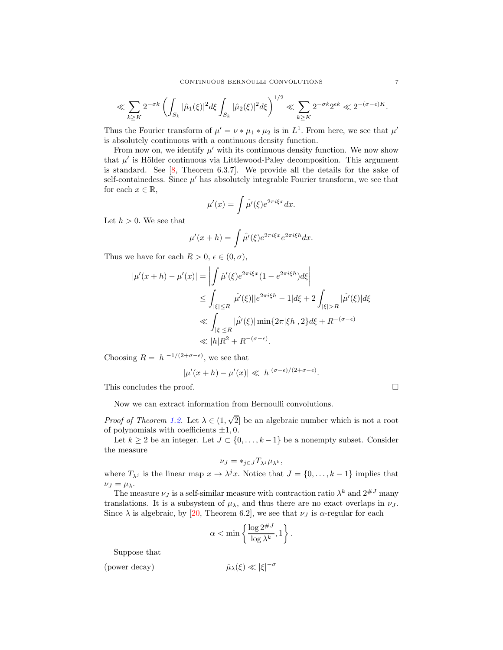<span id="page-6-1"></span>
$$
\ll \sum_{k\geq K} 2^{-\sigma k} \left( \int_{S_k} |\hat{\mu}_1(\xi)|^2 d\xi \int_{S_k} |\hat{\mu}_2(\xi)|^2 d\xi \right)^{1/2} \ll \sum_{k\geq K} 2^{-\sigma k} 2^{\epsilon k} \ll 2^{-(\sigma-\epsilon)K}.
$$

Thus the Fourier transform of  $\mu' = \nu * \mu_1 * \mu_2$  is in  $L^1$ . From here, we see that  $\mu'$ is absolutely continuous with a continuous density function.

From now on, we identify  $\mu'$  with its continuous density function. We now show that  $\mu'$  is Hölder continuous via Littlewood-Paley decomposition. This argument is standard. See  $[8,$  Theorem 6.3.7]. We provide all the details for the sake of self-containedess. Since  $\mu'$  has absolutely integrable Fourier transform, we see that for each  $x \in \mathbb{R}$ ,

$$
\mu'(x) = \int \hat{\mu}'(\xi) e^{2\pi i \xi x} dx.
$$

Let  $h > 0$ . We see that

$$
\mu'(x+h) = \int \hat{\mu}'(\xi) e^{2\pi i \xi x} e^{2\pi i \xi h} dx.
$$

Thus we have for each  $R > 0$ ,  $\epsilon \in (0, \sigma)$ ,

$$
|\mu'(x+h) - \mu'(x)| = \left| \int \hat{\mu}'(\xi) e^{2\pi i \xi x} (1 - e^{2\pi i \xi h}) d\xi \right|
$$
  
\n
$$
\leq \int_{|\xi| \leq R} |\hat{\mu}'(\xi)| |e^{2\pi i \xi h} - 1| d\xi + 2 \int_{|\xi| > R} |\hat{\mu}'(\xi)| d\xi
$$
  
\n
$$
\ll \int_{|\xi| \leq R} |\hat{\mu}'(\xi)| \min\{2\pi |\xi h|, 2\} d\xi + R^{-(\sigma - \epsilon)}
$$
  
\n
$$
\ll |h|R^2 + R^{-(\sigma - \epsilon)}.
$$

Choosing  $R = |h|^{-1/(2+\sigma-\epsilon)}$ , we see that

$$
|\mu'(x+h) - \mu'(x)| \ll |h|^{(\sigma-\epsilon)/(2+\sigma-\epsilon)}.
$$

This concludes the proof.

Now we can extract information from Bernoulli convolutions.

*Proof of Theorem [1.2.](#page-2-1)* Let  $\lambda \in (1, \sqrt{2}]$  be an algebraic number which is not a root of polynomials with coefficients  $\pm 1, 0$ .

Let  $k \geq 2$  be an integer. Let  $J \subset \{0, \ldots, k-1\}$  be a nonempty subset. Consider the measure

$$
\nu_J = *_{j \in J} T_{\lambda^j} \mu_{\lambda^k},
$$

where  $T_{\lambda}$  is the linear map  $x \to \lambda^j x$ . Notice that  $J = \{0, \ldots, k-1\}$  implies that  $\nu_J = \mu_{\lambda}.$ 

The measure  $\nu_J$  is a self-similar measure with contraction ratio  $\lambda^k$  and  $2^{\#J}$  many translations. It is a subsystem of  $\mu_{\lambda}$ , and thus there are no exact overlaps in  $\nu_J$ . Since  $\lambda$  is algebraic, by [\[20,](#page-9-14) Theorem 6.2], we see that  $\nu_J$  is  $\alpha$ -regular for each

$$
\alpha < \min\left\{\frac{\log 2^{\#J}}{\log \lambda^k}, 1\right\}.
$$

Suppose that

<span id="page-6-0"></span>
$$
\text{(power decay)} \qquad \qquad \hat{\mu}_{\lambda}(\xi) \ll |\xi|^{-\sigma}
$$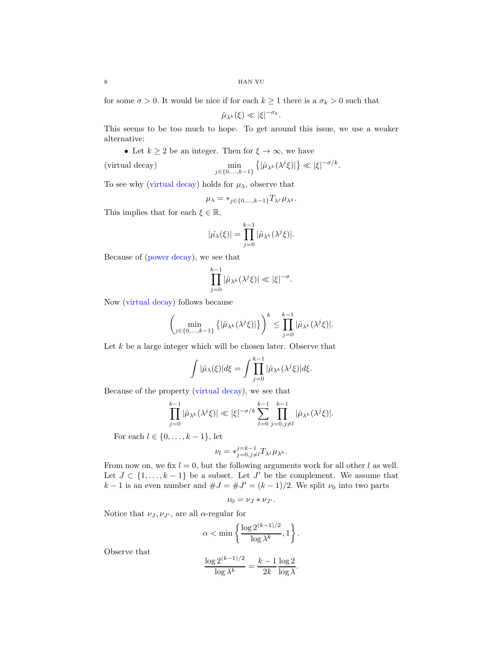for some  $\sigma > 0$ . It would be nice if for each  $k \geq 1$  there is a  $\sigma_k > 0$  such that

$$
\hat{\mu}_{\lambda^k}(\xi) \ll |\xi|^{-\sigma_k}.
$$

This seems to be too much to hope. To get around this issue, we use a weaker alternative:

• Let  $k \geq 2$  be an integer. Then for  $\xi \to \infty$ , we have

<span id="page-7-0"></span>(virtual decay)

$$
\min_{j\in\{0,\ldots,k-1\}}\left\{|\hat{\mu}_{\lambda^k}(\lambda^j\xi)|\right\}\ll |\xi|^{-\sigma/k}.
$$

To see why [\(virtual decay\)](#page-7-0) holds for  $\mu_{\lambda}$ , observe that

$$
\mu_{\lambda} = *_{j \in \{0, \ldots, k-1\}} T_{\lambda^j} \mu_{\lambda^k}.
$$

This implies that for each  $\xi \in \mathbb{R}$ ,

$$
|\hat{\mu_{\lambda}}(\xi)| = \prod_{j=0}^{k-1} |\hat{\mu}_{\lambda^k}(\lambda^j \xi)|.
$$

Because of [\(power decay\)](#page-6-0), we see that

$$
\prod_{j=0}^{k-1} |\hat{\mu}_{\lambda^k}(\lambda^j \xi)| \ll |\xi|^{-\sigma}.
$$

Now [\(virtual decay\)](#page-7-0) follows because

$$
\left(\min_{j\in\{0,\ldots,k-1\}}\left\{|\hat{\mu}_{\lambda^k}(\lambda^j\xi)|\right\}\right)^k \leq \prod_{j=0}^{k-1}|\hat{\mu}_{\lambda^k}(\lambda^j\xi)|.
$$

Let  $k$  be a large integer which will be chosen later. Observe that

$$
\int |\hat{\mu}_{\lambda}(\xi)|d\xi = \int \prod_{j=0}^{k-1} |\hat{\mu}_{\lambda^k}(\lambda^j \xi)|d\xi.
$$

Because of the property [\(virtual decay\)](#page-7-0), we see that

$$
\prod_{j=0}^{k-1} |\hat{\mu}_{\lambda^k}(\lambda^j \xi)| \ll |\xi|^{-\sigma/k} \sum_{l=0}^{k-1} \prod_{j=0,j\neq l}^{k-1} |\hat{\mu}_{\lambda^k}(\lambda^j \xi)|.
$$

For each  $l \in \{0, \ldots, k-1\}$ , let

$$
\nu_l = *_{j=0,j\neq l}^{j=k-1} T_{\lambda^j} \mu_{\lambda^k}.
$$

From now on, we fix  $l = 0$ , but the following arguments work for all other l as well. Let  $J \subset \{1, \ldots, k-1\}$  be a subset. Let  $J'$  be the complement. We assume that  $k-1$  is an even number and  $\#J = \#J' = (k-1)/2$ . We split  $\nu_0$  into two parts

$$
\nu_0=\nu_J*\nu_{J'}.
$$

Notice that  $\nu_J, \nu_{J'}$ , are all  $\alpha$ -regular for

$$
\alpha < \min \left\{ \frac{\log 2^{(k-1)/2}}{\log \lambda^k}, 1 \right\}.
$$

Observe that

$$
\frac{\log 2^{(k-1)/2}}{\log \lambda^k} = \frac{k-1}{2k} \frac{\log 2}{\log \lambda}.
$$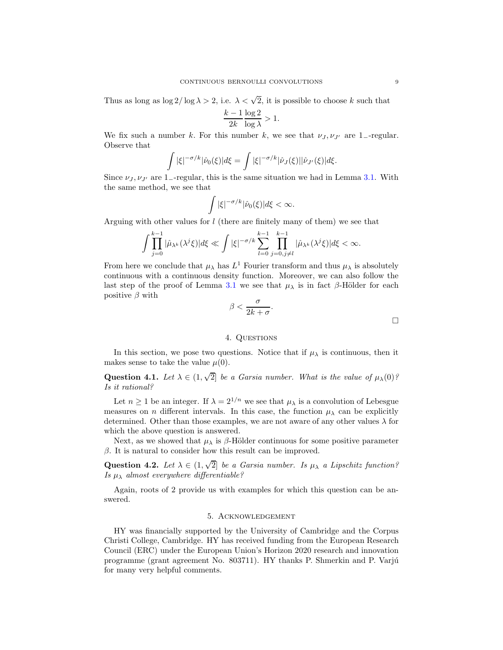Thus as long as  $\log 2/\log \lambda > 2$ , i.e.  $\lambda < \sqrt{2}$ , it is possible to choose k such that

$$
\frac{k-1}{2k} \frac{\log 2}{\log \lambda} > 1.
$$

We fix such a number k. For this number k, we see that  $\nu_J, \nu_{J'}$  are 1<sub>-regular</sub>. Observe that

$$
\int |\xi|^{-\sigma/k} |\hat{\nu}_0(\xi)| d\xi = \int |\xi|^{-\sigma/k} |\hat{\nu}_J(\xi)| |\hat{\nu}_{J'}(\xi)| d\xi.
$$

Since  $\nu_J, \nu_{J'}$  are 1<sub>-</sub>-regular, this is the same situation we had in Lemma [3.1.](#page-5-0) With the same method, we see that

$$
\int |\xi|^{-\sigma/k} |\hat{\nu}_0(\xi)| d\xi < \infty.
$$

Arguing with other values for l (there are finitely many of them) we see that

$$
\int \prod_{j=0}^{k-1} |\hat{\mu}_{\lambda^k}(\lambda^j \xi)| d\xi \ll \int |\xi|^{-\sigma/k} \sum_{l=0}^{k-1} \prod_{j=0,j\neq l}^{k-1} |\hat{\mu}_{\lambda^k}(\lambda^j \xi)| d\xi < \infty.
$$

From here we conclude that  $\mu_{\lambda}$  has  $L^{1}$  Fourier transform and thus  $\mu_{\lambda}$  is absolutely continuous with a continuous density function. Moreover, we can also follow the last step of the proof of Lemma [3.1](#page-5-0) we see that  $\mu_{\lambda}$  is in fact  $\beta$ -Hölder for each positive  $\beta$  with

$$
\beta < \frac{\sigma}{2k+\sigma}.
$$

# 4. QUESTIONS

In this section, we pose two questions. Notice that if  $\mu_{\lambda}$  is continuous, then it makes sense to take the value  $\mu(0)$ .

Question 4.1. Let  $\lambda \in (1, \sqrt{2}]$  be a Garsia number. What is the value of  $\mu_{\lambda}(0)$ ? Is it rational?

Let  $n \geq 1$  be an integer. If  $\lambda = 2^{1/n}$  we see that  $\mu_{\lambda}$  is a convolution of Lebesgue measures on n different intervals. In this case, the function  $\mu_{\lambda}$  can be explicitly determined. Other than those examples, we are not aware of any other values  $\lambda$  for which the above question is answered.

Next, as we showed that  $\mu_{\lambda}$  is  $\beta$ -Hölder continuous for some positive parameter  $β$ . It is natural to consider how this result can be improved.

Question 4.2. Let  $\lambda \in (1, \sqrt{2}]$  be a Garsia number. Is  $\mu_{\lambda}$  a Lipschitz function? Is  $\mu_{\lambda}$  almost everywhere differentiable?

Again, roots of 2 provide us with examples for which this question can be answered.

### 5. Acknowledgement

HY was financially supported by the University of Cambridge and the Corpus Christi College, Cambridge. HY has received funding from the European Research Council (ERC) under the European Union's Horizon 2020 research and innovation programme (grant agreement No. 803711). HY thanks P. Shmerkin and P. Varjú for many very helpful comments.